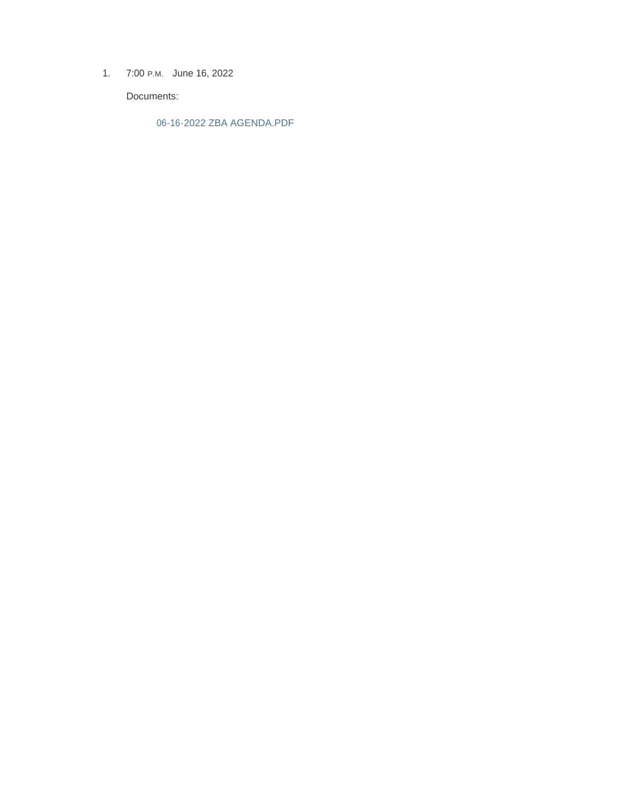1. 7:00 P.M. June 16, 2022

Documents:

06-16-2022 ZBA AGENDA.PDF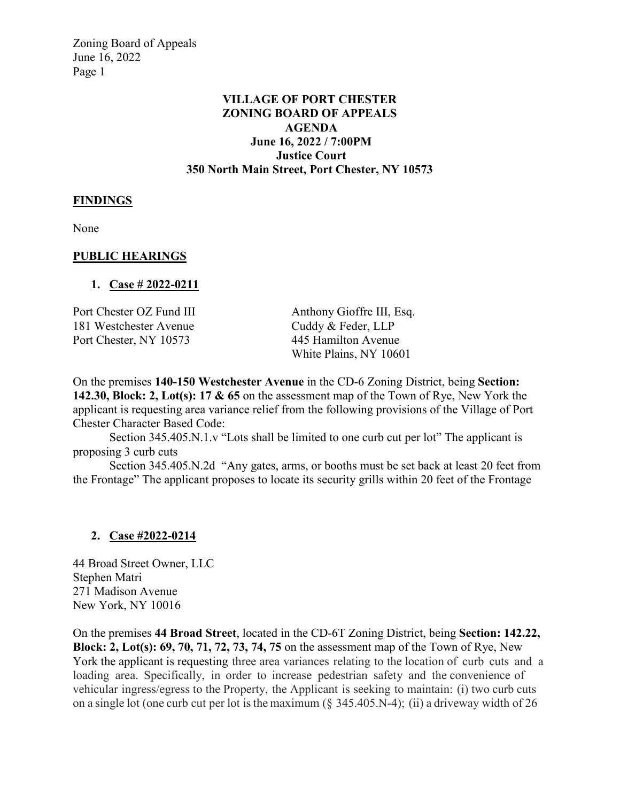Zoning Board of Appeals June 16, 2022 Page 1

## **VILLAGE OF PORT CHESTER ZONING BOARD OF APPEALS AGENDA June 16, 2022 / 7:00PM Justice Court 350 North Main Street, Port Chester, NY 10573**

#### **FINDINGS**

None

#### **PUBLIC HEARINGS**

#### **1. Case # 2022-0211**

| Port Chester OZ Fund III | Anthony Gioffre III, Esq. |
|--------------------------|---------------------------|
| 181 Westchester Avenue   | Cuddy & Feder, LLP        |
| Port Chester, NY 10573   | 445 Hamilton Avenue       |
|                          | White Plains, NY 10601    |

On the premises **140-150 Westchester Avenue** in the CD-6 Zoning District, being **Section: 142.30, Block: 2, Lot(s): 17 & 65** on the assessment map of the Town of Rye, New York the applicant is requesting area variance relief from the following provisions of the Village of Port Chester Character Based Code:

Section 345.405.N.1.v "Lots shall be limited to one curb cut per lot" The applicant is proposing 3 curb cuts

Section 345.405.N.2d "Any gates, arms, or booths must be set back at least 20 feet from the Frontage" The applicant proposes to locate its security grills within 20 feet of the Frontage

#### **2. Case #2022-0214**

44 Broad Street Owner, LLC Stephen Matri 271 Madison Avenue New York, NY 10016

On the premises **44 Broad Street**, located in the CD-6T Zoning District, being **Section: 142.22, Block: 2, Lot(s): 69, 70, 71, 72, 73, 74, 75** on the assessment map of the Town of Rye, New York the applicant is requesting three area variances relating to the location of curb cuts and a loading area. Specifically, in order to increase pedestrian safety and the convenience of vehicular ingress/egress to the Property, the Applicant is seeking to maintain: (i) two curb cuts on a single lot (one curb cut per lot is the maximum  $(\S$  345.405.N-4); (ii) a driveway width of 26